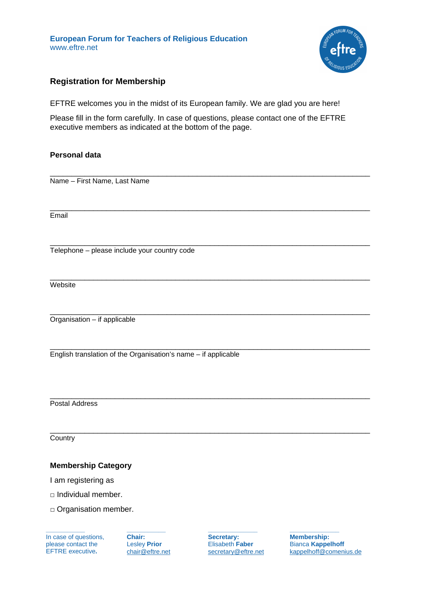**European Forum for Teachers of Religious Education** www.eftre.net



# **Registration for Membership**

EFTRE welcomes you in the midst of its European family. We are glad you are here!

Please fill in the form carefully. In case of questions, please contact one of the EFTRE executive members as indicated at the bottom of the page.

\_\_\_\_\_\_\_\_\_\_\_\_\_\_\_\_\_\_\_\_\_\_\_\_\_\_\_\_\_\_\_\_\_\_\_\_\_\_\_\_\_\_\_\_\_\_\_\_\_\_\_\_\_\_\_\_\_\_\_\_\_\_\_\_\_\_\_\_\_\_\_\_\_\_

### **Personal data**

Name – First Name, Last Name

\_\_\_\_\_\_\_\_\_\_\_\_\_\_\_\_\_\_\_\_\_\_\_\_\_\_\_\_\_\_\_\_\_\_\_\_\_\_\_\_\_\_\_\_\_\_\_\_\_\_\_\_\_\_\_\_\_\_\_\_\_\_\_\_\_\_\_\_\_\_\_\_\_\_ **Email** 

\_\_\_\_\_\_\_\_\_\_\_\_\_\_\_\_\_\_\_\_\_\_\_\_\_\_\_\_\_\_\_\_\_\_\_\_\_\_\_\_\_\_\_\_\_\_\_\_\_\_\_\_\_\_\_\_\_\_\_\_\_\_\_\_\_\_\_\_\_\_\_\_\_\_ Telephone – please include your country code

\_\_\_\_\_\_\_\_\_\_\_\_\_\_\_\_\_\_\_\_\_\_\_\_\_\_\_\_\_\_\_\_\_\_\_\_\_\_\_\_\_\_\_\_\_\_\_\_\_\_\_\_\_\_\_\_\_\_\_\_\_\_\_\_\_\_\_\_\_\_\_\_\_\_ **Website** 

\_\_\_\_\_\_\_\_\_\_\_\_\_\_\_\_\_\_\_\_\_\_\_\_\_\_\_\_\_\_\_\_\_\_\_\_\_\_\_\_\_\_\_\_\_\_\_\_\_\_\_\_\_\_\_\_\_\_\_\_\_\_\_\_\_\_\_\_\_\_\_\_\_\_ Organisation – if applicable

\_\_\_\_\_\_\_\_\_\_\_\_\_\_\_\_\_\_\_\_\_\_\_\_\_\_\_\_\_\_\_\_\_\_\_\_\_\_\_\_\_\_\_\_\_\_\_\_\_\_\_\_\_\_\_\_\_\_\_\_\_\_\_\_\_\_\_\_\_\_\_\_\_\_ English translation of the Organisation's name – if applicable

\_\_\_\_\_\_\_\_\_\_\_\_\_\_\_\_\_\_\_\_\_\_\_\_\_\_\_\_\_\_\_\_\_\_\_\_\_\_\_\_\_\_\_\_\_\_\_\_\_\_\_\_\_\_\_\_\_\_\_\_\_\_\_\_\_\_\_\_\_\_\_\_\_\_ Postal Address

**Country** 

### **Membership Category**

I am registering as

□ Individual member.

□ Organisation member.

In case of questions, please contact the EFTRE executive**.**

**\_\_\_\_\_\_\_\_\_\_\_** 

**\_\_\_\_\_\_\_\_\_\_\_ Chair:** Lesley **Prior** [chair@eftre.net](mailto:chair@eftre.net) 

**\_\_\_\_\_\_\_\_\_\_\_\_\_\_ Secretary:** Elisabeth **Faber** secretary@eftre.net

\_\_\_\_\_\_\_\_\_\_\_\_\_\_\_\_\_\_\_\_\_\_\_\_\_\_\_\_\_\_\_\_\_\_\_\_\_\_\_\_\_\_\_\_\_\_\_\_\_\_\_\_\_\_\_\_\_\_\_\_\_\_\_\_\_\_\_\_\_\_\_\_\_\_

**\_\_\_\_\_\_\_\_\_\_\_\_\_\_ Membership:** Bianca **Kappelhoff** [kappelhoff@comenius.de](mailto:kappelhoff@comenius.de)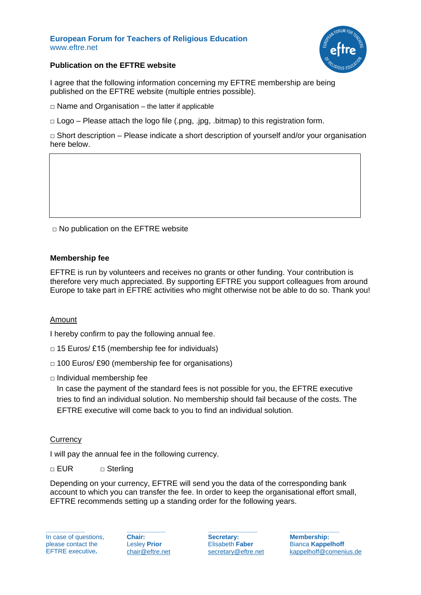#### **European Forum for Teachers of Religious Education** www.eftre.net



### **Publication on the EFTRE website**

I agree that the following information concerning my EFTRE membership are being published on the EFTRE website (multiple entries possible).

 $\Box$  Name and Organisation – the latter if applicable

□ Logo – Please attach the logo file (.png, .jpg, .bitmap) to this registration form.

 $\Box$  Short description – Please indicate a short description of yourself and/or your organisation here below.

□ No publication on the EFTRE website

### **Membership fee**

EFTRE is run by volunteers and receives no grants or other funding. Your contribution is therefore very much appreciated. By supporting EFTRE you support colleagues from around Europe to take part in EFTRE activities who might otherwise not be able to do so. Thank you!

### Amount

I hereby confirm to pay the following annual fee.

- $\Box$  15 Euros/ £15 (membership fee for individuals)
- □ 100 Euros/ £90 (membership fee for organisations)
- $\Box$  Individual membership fee

In case the payment of the standard fees is not possible for you, the EFTRE executive tries to find an individual solution. No membership should fail because of the costs. The EFTRE executive will come back to you to find an individual solution.

### **Currency**

I will pay the annual fee in the following currency.

#### □ EUR □ Sterling

Depending on your currency, EFTRE will send you the data of the corresponding bank account to which you can transfer the fee. In order to keep the organisational effort small, EFTRE recommends setting up a standing order for the following years.

In case of questions, please contact the EFTRE executive**.**

**\_\_\_\_\_\_\_\_\_\_\_** 

**Chair:** Lesley **Prior** [chair@eftre.net](mailto:chair@eftre.net) 

**\_\_\_\_\_\_\_\_\_\_\_** 

**Secretary:** Elisabeth **Faber** [secretary@eftre.net](mailto:secretary@eftre.net) 

**\_\_\_\_\_\_\_\_\_\_\_\_\_\_**

**\_\_\_\_\_\_\_\_\_\_\_\_\_\_ Membership:** Bianca **Kappelhoff** [kappelhoff@comenius.de](mailto:kappelhoff@comenius.de)